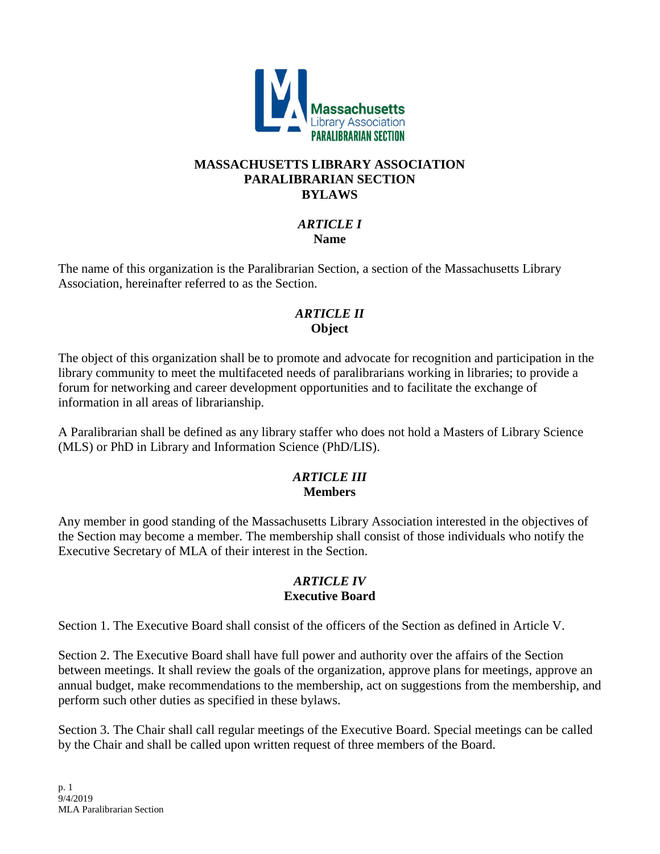

### **MASSACHUSETTS LIBRARY ASSOCIATION PARALIBRARIAN SECTION BYLAWS**

#### *ARTICLE I* **Name**

The name of this organization is the Paralibrarian Section, a section of the Massachusetts Library Association, hereinafter referred to as the Section.

### *ARTICLE II* **Object**

The object of this organization shall be to promote and advocate for recognition and participation in the library community to meet the multifaceted needs of paralibrarians working in libraries; to provide a forum for networking and career development opportunities and to facilitate the exchange of information in all areas of librarianship.

A Paralibrarian shall be defined as any library staffer who does not hold a Masters of Library Science (MLS) or PhD in Library and Information Science (PhD/LIS).

## *ARTICLE III* **Members**

Any member in good standing of the Massachusetts Library Association interested in the objectives of the Section may become a member. The membership shall consist of those individuals who notify the Executive Secretary of MLA of their interest in the Section.

### *ARTICLE IV* **Executive Board**

Section 1. The Executive Board shall consist of the officers of the Section as defined in Article V.

Section 2. The Executive Board shall have full power and authority over the affairs of the Section between meetings. It shall review the goals of the organization, approve plans for meetings, approve an annual budget, make recommendations to the membership, act on suggestions from the membership, and perform such other duties as specified in these bylaws.

Section 3. The Chair shall call regular meetings of the Executive Board. Special meetings can be called by the Chair and shall be called upon written request of three members of the Board.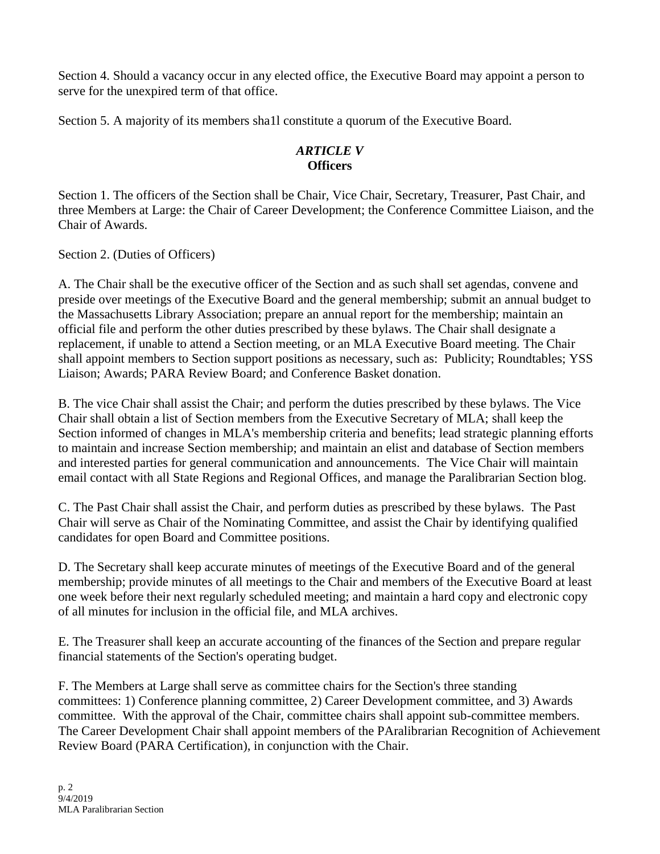Section 4. Should a vacancy occur in any elected office, the Executive Board may appoint a person to serve for the unexpired term of that office.

Section 5. A majority of its members sha1l constitute a quorum of the Executive Board.

# *ARTICLE V* **Officers**

Section 1. The officers of the Section shall be Chair, Vice Chair, Secretary, Treasurer, Past Chair, and three Members at Large: the Chair of Career Development; the Conference Committee Liaison, and the Chair of Awards.

Section 2. (Duties of Officers)

A. The Chair shall be the executive officer of the Section and as such shall set agendas, convene and preside over meetings of the Executive Board and the general membership; submit an annual budget to the Massachusetts Library Association; prepare an annual report for the membership; maintain an official file and perform the other duties prescribed by these bylaws. The Chair shall designate a replacement, if unable to attend a Section meeting, or an MLA Executive Board meeting. The Chair shall appoint members to Section support positions as necessary, such as: Publicity; Roundtables; YSS Liaison; Awards; PARA Review Board; and Conference Basket donation.

B. The vice Chair shall assist the Chair; and perform the duties prescribed by these bylaws. The Vice Chair shall obtain a list of Section members from the Executive Secretary of MLA; shall keep the Section informed of changes in MLA's membership criteria and benefits; lead strategic planning efforts to maintain and increase Section membership; and maintain an elist and database of Section members and interested parties for general communication and announcements. The Vice Chair will maintain email contact with all State Regions and Regional Offices, and manage the Paralibrarian Section blog.

C. The Past Chair shall assist the Chair, and perform duties as prescribed by these bylaws. The Past Chair will serve as Chair of the Nominating Committee, and assist the Chair by identifying qualified candidates for open Board and Committee positions.

D. The Secretary shall keep accurate minutes of meetings of the Executive Board and of the general membership; provide minutes of all meetings to the Chair and members of the Executive Board at least one week before their next regularly scheduled meeting; and maintain a hard copy and electronic copy of all minutes for inclusion in the official file, and MLA archives.

E. The Treasurer shall keep an accurate accounting of the finances of the Section and prepare regular financial statements of the Section's operating budget.

F. The Members at Large shall serve as committee chairs for the Section's three standing committees: 1) Conference planning committee, 2) Career Development committee, and 3) Awards committee. With the approval of the Chair, committee chairs shall appoint sub-committee members. The Career Development Chair shall appoint members of the PAralibrarian Recognition of Achievement Review Board (PARA Certification), in conjunction with the Chair.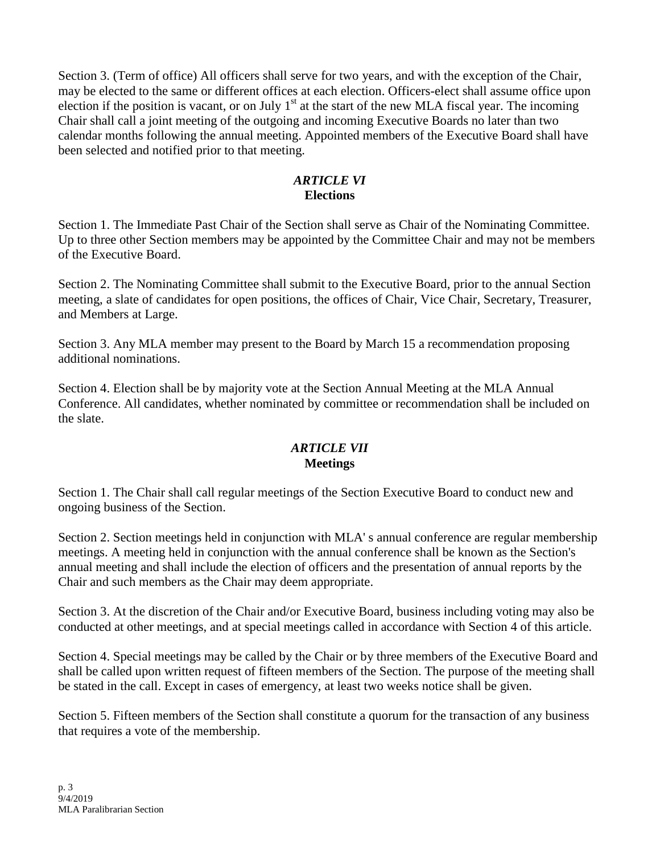Section 3. (Term of office) All officers shall serve for two years, and with the exception of the Chair, may be elected to the same or different offices at each election. Officers-elect shall assume office upon election if the position is vacant, or on July  $1<sup>st</sup>$  at the start of the new MLA fiscal year. The incoming Chair shall call a joint meeting of the outgoing and incoming Executive Boards no later than two calendar months following the annual meeting. Appointed members of the Executive Board shall have been selected and notified prior to that meeting.

### *ARTICLE VI* **Elections**

Section 1. The Immediate Past Chair of the Section shall serve as Chair of the Nominating Committee. Up to three other Section members may be appointed by the Committee Chair and may not be members of the Executive Board.

Section 2. The Nominating Committee shall submit to the Executive Board, prior to the annual Section meeting, a slate of candidates for open positions, the offices of Chair, Vice Chair, Secretary, Treasurer, and Members at Large.

Section 3. Any MLA member may present to the Board by March 15 a recommendation proposing additional nominations.

Section 4. Election shall be by majority vote at the Section Annual Meeting at the MLA Annual Conference. All candidates, whether nominated by committee or recommendation shall be included on the slate.

## *ARTICLE VII* **Meetings**

Section 1. The Chair shall call regular meetings of the Section Executive Board to conduct new and ongoing business of the Section.

Section 2. Section meetings held in conjunction with MLA' s annual conference are regular membership meetings. A meeting held in conjunction with the annual conference shall be known as the Section's annual meeting and shall include the election of officers and the presentation of annual reports by the Chair and such members as the Chair may deem appropriate.

Section 3. At the discretion of the Chair and/or Executive Board, business including voting may also be conducted at other meetings, and at special meetings called in accordance with Section 4 of this article.

Section 4. Special meetings may be called by the Chair or by three members of the Executive Board and shall be called upon written request of fifteen members of the Section. The purpose of the meeting shall be stated in the call. Except in cases of emergency, at least two weeks notice shall be given.

Section 5. Fifteen members of the Section shall constitute a quorum for the transaction of any business that requires a vote of the membership.